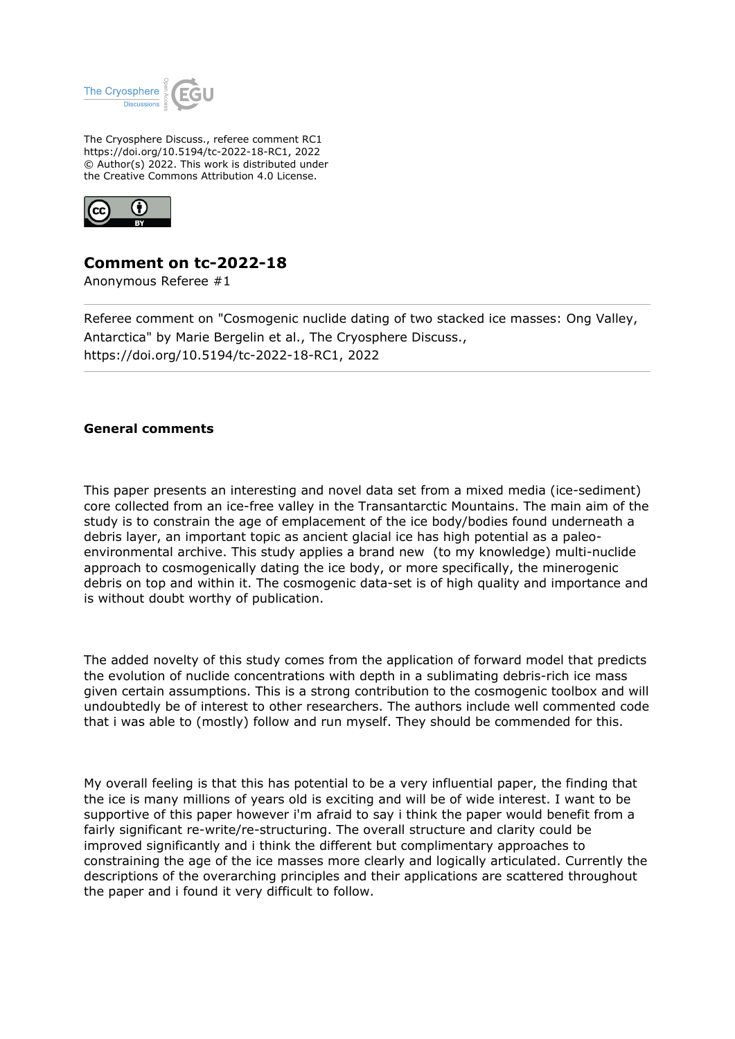

The Cryosphere Discuss., referee comment RC1 https://doi.org/10.5194/tc-2022-18-RC1, 2022 © Author(s) 2022. This work is distributed under the Creative Commons Attribution 4.0 License.



## **Comment on tc-2022-18**

Anonymous Referee #1

Referee comment on "Cosmogenic nuclide dating of two stacked ice masses: Ong Valley, Antarctica" by Marie Bergelin et al., The Cryosphere Discuss., https://doi.org/10.5194/tc-2022-18-RC1, 2022

## **General comments**

This paper presents an interesting and novel data set from a mixed media (ice-sediment) core collected from an ice-free valley in the Transantarctic Mountains. The main aim of the study is to constrain the age of emplacement of the ice body/bodies found underneath a debris layer, an important topic as ancient glacial ice has high potential as a paleoenvironmental archive. This study applies a brand new (to my knowledge) multi-nuclide approach to cosmogenically dating the ice body, or more specifically, the minerogenic debris on top and within it. The cosmogenic data-set is of high quality and importance and is without doubt worthy of publication.

The added novelty of this study comes from the application of forward model that predicts the evolution of nuclide concentrations with depth in a sublimating debris-rich ice mass given certain assumptions. This is a strong contribution to the cosmogenic toolbox and will undoubtedly be of interest to other researchers. The authors include well commented code that i was able to (mostly) follow and run myself. They should be commended for this.

My overall feeling is that this has potential to be a very influential paper, the finding that the ice is many millions of years old is exciting and will be of wide interest. I want to be supportive of this paper however i'm afraid to say i think the paper would benefit from a fairly significant re-write/re-structuring. The overall structure and clarity could be improved significantly and i think the different but complimentary approaches to constraining the age of the ice masses more clearly and logically articulated. Currently the descriptions of the overarching principles and their applications are scattered throughout the paper and i found it very difficult to follow.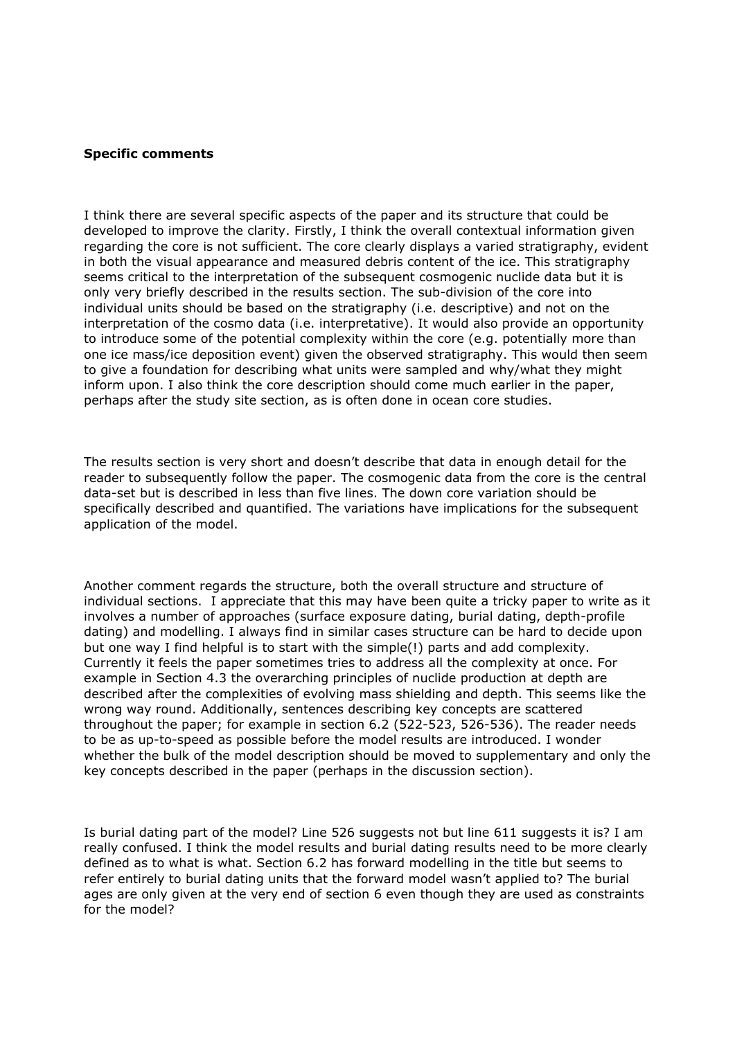## **Specific comments**

I think there are several specific aspects of the paper and its structure that could be developed to improve the clarity. Firstly, I think the overall contextual information given regarding the core is not sufficient. The core clearly displays a varied stratigraphy, evident in both the visual appearance and measured debris content of the ice. This stratigraphy seems critical to the interpretation of the subsequent cosmogenic nuclide data but it is only very briefly described in the results section. The sub-division of the core into individual units should be based on the stratigraphy (i.e. descriptive) and not on the interpretation of the cosmo data (i.e. interpretative). It would also provide an opportunity to introduce some of the potential complexity within the core (e.g. potentially more than one ice mass/ice deposition event) given the observed stratigraphy. This would then seem to give a foundation for describing what units were sampled and why/what they might inform upon. I also think the core description should come much earlier in the paper, perhaps after the study site section, as is often done in ocean core studies.

The results section is very short and doesn't describe that data in enough detail for the reader to subsequently follow the paper. The cosmogenic data from the core is the central data-set but is described in less than five lines. The down core variation should be specifically described and quantified. The variations have implications for the subsequent application of the model.

Another comment regards the structure, both the overall structure and structure of individual sections. I appreciate that this may have been quite a tricky paper to write as it involves a number of approaches (surface exposure dating, burial dating, depth-profile dating) and modelling. I always find in similar cases structure can be hard to decide upon but one way I find helpful is to start with the simple(!) parts and add complexity. Currently it feels the paper sometimes tries to address all the complexity at once. For example in Section 4.3 the overarching principles of nuclide production at depth are described after the complexities of evolving mass shielding and depth. This seems like the wrong way round. Additionally, sentences describing key concepts are scattered throughout the paper; for example in section 6.2 (522-523, 526-536). The reader needs to be as up-to-speed as possible before the model results are introduced. I wonder whether the bulk of the model description should be moved to supplementary and only the key concepts described in the paper (perhaps in the discussion section).

Is burial dating part of the model? Line 526 suggests not but line 611 suggests it is? I am really confused. I think the model results and burial dating results need to be more clearly defined as to what is what. Section 6.2 has forward modelling in the title but seems to refer entirely to burial dating units that the forward model wasn't applied to? The burial ages are only given at the very end of section 6 even though they are used as constraints for the model?